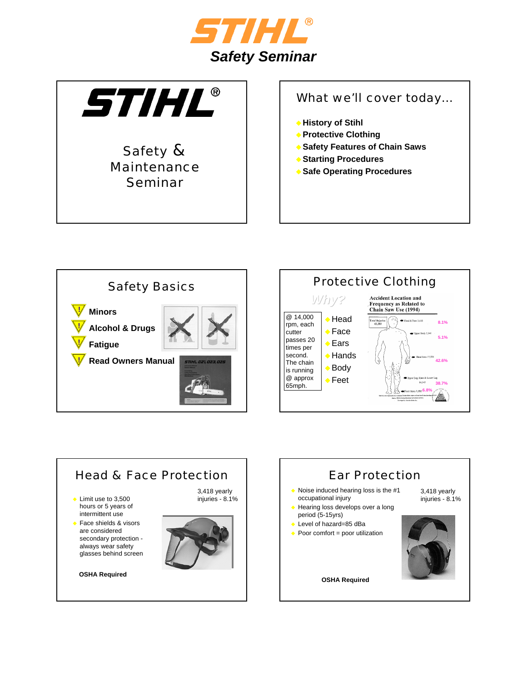



### Safety & Maintenance Seminar

### What we'll cover today...

- **History of Stihl**
- **Protective Clothing**
- **Safety Features of Chain Saws**
- **Starting Procedures**
- **Safe Operating Procedures**







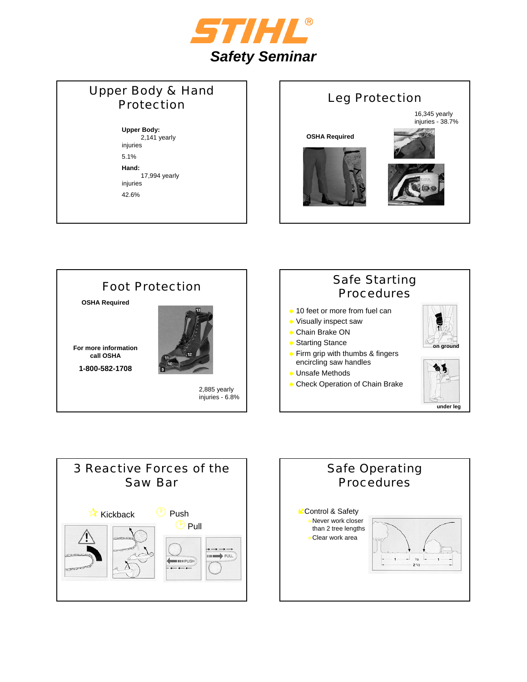

### Upper Body & Hand Protection

**Upper Body:**  2,141 yearly injuries

5.1%

**Hand:** 17,994 yearly injuries 42.6%







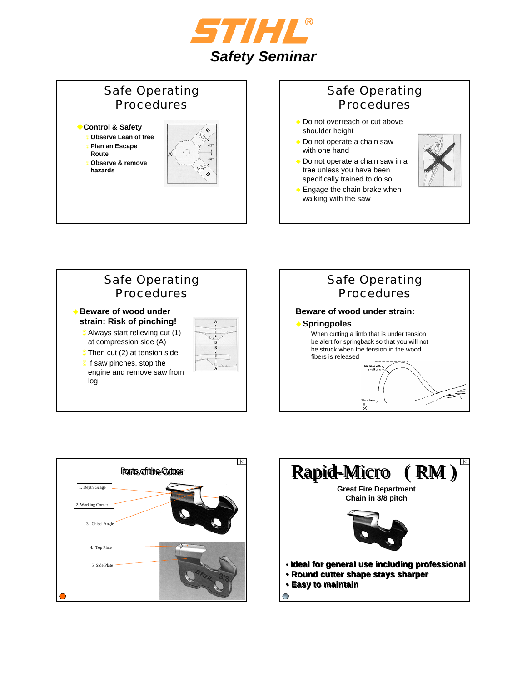

### Safe Operating Procedures

- **Control & Safety**
	- **Observe Lean of tree Plan an Escape**
	- **Route Observe & remove**
	- **hazards**



## Safe Operating Procedures

- ◆ Do not overreach or cut above shoulder height
- ◆ Do not operate a chain saw with one hand
- ◆ Do not operate a chain saw in a tree unless you have been specifically trained to do so



 Engage the chain brake when walking with the saw







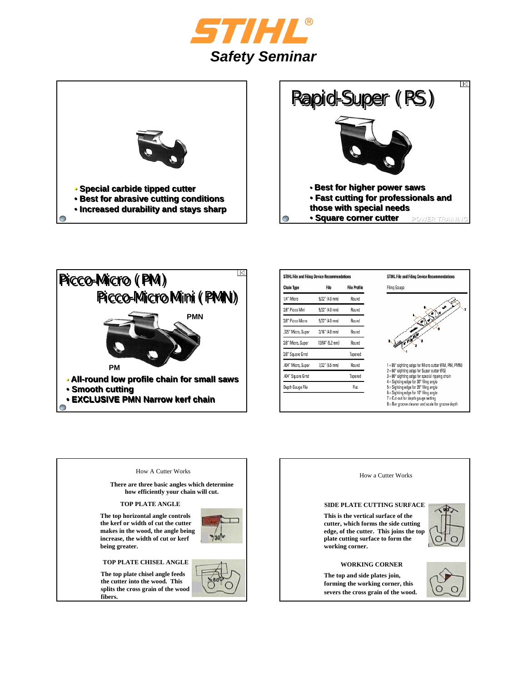







**fibers.**

| STIHL File and Filing Device Recommendations |                     |
|----------------------------------------------|---------------------|
| File                                         | <b>File Profile</b> |
| 5/32" (4.0 mm)                               | Round               |
| 5/32" (4.0 mm)                               | Round               |
| 5/32" (4.0 mm)                               | Round               |
| 3/16" (4.8 mm)                               | Round               |
| 13/64" (5.2 mm)                              | Round               |
|                                              | Tapered             |
| 7/32" (5.5 mm)                               | Round               |
|                                              | Tapered             |
|                                              | Flat                |
|                                              |                     |
|                                              |                     |

How a Cutter Works







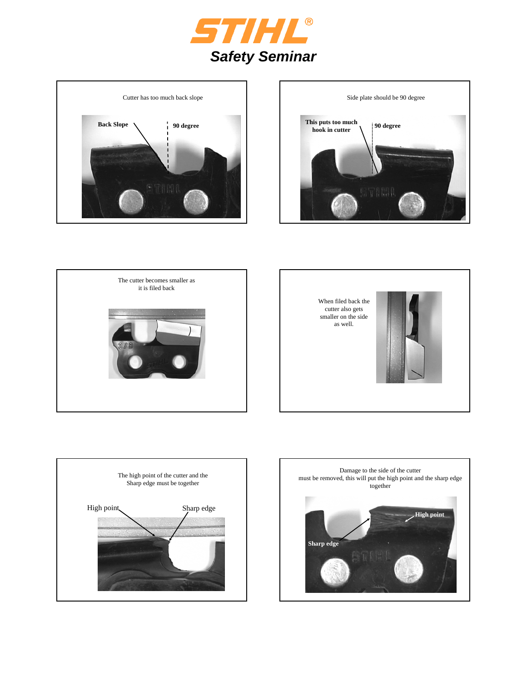











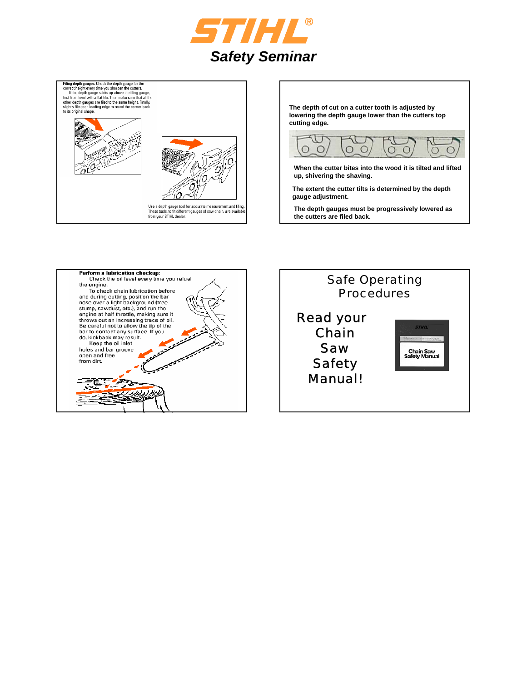



**The depth of cut on a cutter tooth is adjusted by lowering the depth gauge lower than the cutters top cutting edge.**



**When the cutter bites into the wood it is tilted and lifted up, shivering the shaving.**

**The extent the cutter tilts is determined by the depth gauge adjustment.**

**The depth gauges must be progressively lowered as the cutters are filed back.**



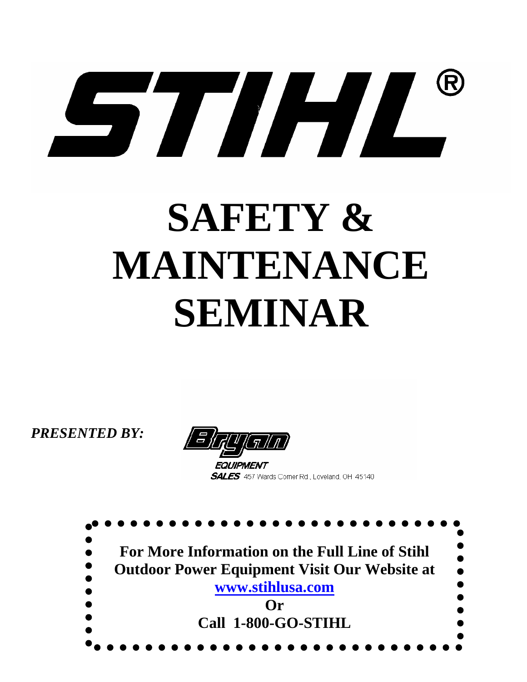# 57/4/

# **SAFETY & MAINTENANCE SEMINAR**

*PRESENTED BY:* 



EQUIPMENT **SALES** 457 Wards Corner Rd., Loveland, OH 45140

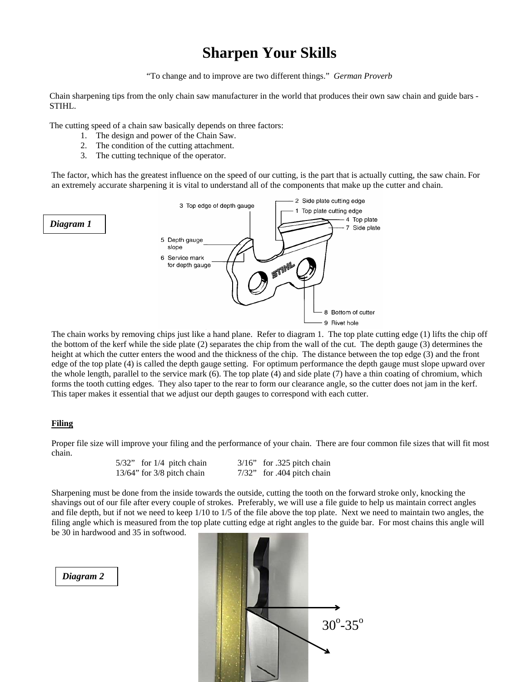# **Sharpen Your Skills**

"To change and to improve are two different things." *German Proverb*

Chain sharpening tips from the only chain saw manufacturer in the world that produces their own saw chain and guide bars - STIHL.

The cutting speed of a chain saw basically depends on three factors:

- 1. The design and power of the Chain Saw.
- 2. The condition of the cutting attachment.
- 3. The cutting technique of the operator.

The factor, which has the greatest influence on the speed of our cutting, is the part that is actually cutting, the saw chain. For an extremely accurate sharpening it is vital to understand all of the components that make up the cutter and chain.



The chain works by removing chips just like a hand plane. Refer to diagram 1. The top plate cutting edge (1) lifts the chip off the bottom of the kerf while the side plate (2) separates the chip from the wall of the cut. The depth gauge (3) determines the height at which the cutter enters the wood and the thickness of the chip. The distance between the top edge (3) and the front edge of the top plate (4) is called the depth gauge setting. For optimum performance the depth gauge must slope upward over the whole length, parallel to the service mark (6). The top plate (4) and side plate (7) have a thin coating of chromium, which forms the tooth cutting edges. They also taper to the rear to form our clearance angle, so the cutter does not jam in the kerf. This taper makes it essential that we adjust our depth gauges to correspond with each cutter.

#### **Filing**

Proper file size will improve your filing and the performance of your chain. There are four common file sizes that will fit most chain.

| $5/32$ " for $1/4$ pitch chain  | $3/16$ " for .325 pitch chain |
|---------------------------------|-------------------------------|
| $13/64$ " for $3/8$ pitch chain | $7/32$ " for .404 pitch chain |

Sharpening must be done from the inside towards the outside, cutting the tooth on the forward stroke only, knocking the shavings out of our file after every couple of strokes. Preferably, we will use a file guide to help us maintain correct angles and file depth, but if not we need to keep 1/10 to 1/5 of the file above the top plate. Next we need to maintain two angles, the filing angle which is measured from the top plate cutting edge at right angles to the guide bar. For most chains this angle will be 30 in hardwood and 35 in softwood.

*Diagram 2*

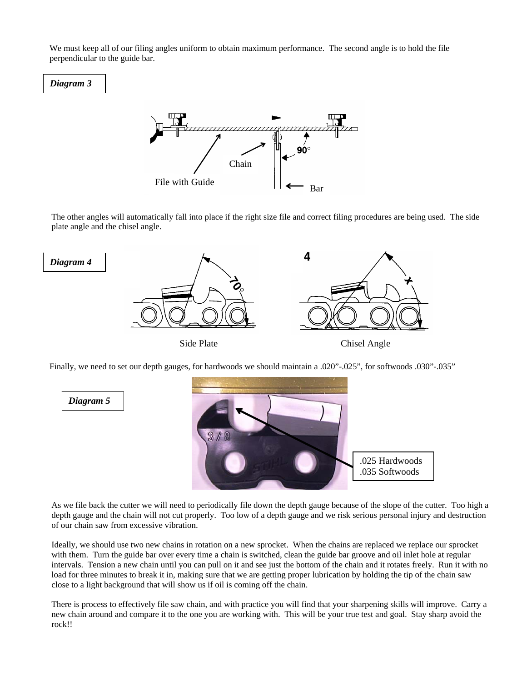We must keep all of our filing angles uniform to obtain maximum performance. The second angle is to hold the file perpendicular to the guide bar.





The other angles will automatically fall into place if the right size file and correct filing procedures are being used. The side plate angle and the chisel angle.



Finally, we need to set our depth gauges, for hardwoods we should maintain a .020"-.025", for softwoods .030"-.035"



As we file back the cutter we will need to periodically file down the depth gauge because of the slope of the cutter. Too high a depth gauge and the chain will not cut properly. Too low of a depth gauge and we risk serious personal injury and destruction of our chain saw from excessive vibration.

Ideally, we should use two new chains in rotation on a new sprocket. When the chains are replaced we replace our sprocket with them. Turn the guide bar over every time a chain is switched, clean the guide bar groove and oil inlet hole at regular intervals. Tension a new chain until you can pull on it and see just the bottom of the chain and it rotates freely. Run it with no load for three minutes to break it in, making sure that we are getting proper lubrication by holding the tip of the chain saw close to a light background that will show us if oil is coming off the chain.

There is process to effectively file saw chain, and with practice you will find that your sharpening skills will improve. Carry a new chain around and compare it to the one you are working with. This will be your true test and goal. Stay sharp avoid the rock!!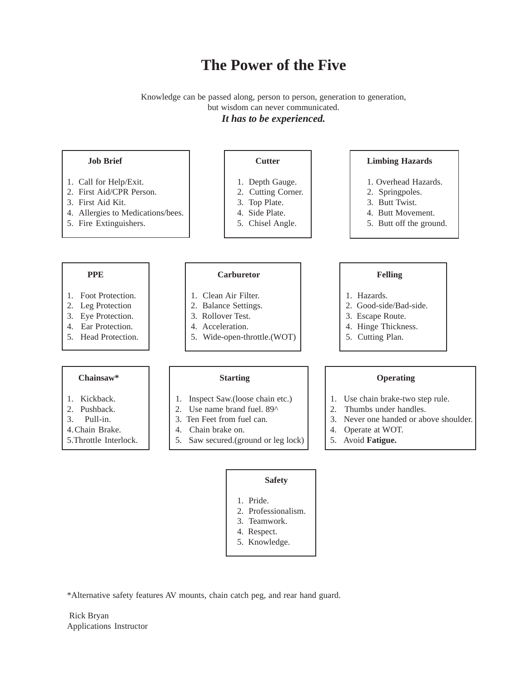## **The Power of the Five**

### Knowledge can be passed along, person to person, generation to generation, but wisdom can never communicated. *It has to be experienced.*



- 1. Pride.
- 2. Professionalism.
- 3. Teamwork.
- 4. Respect.
- 5. Knowledge.

\*Alternative safety features AV mounts, chain catch peg, and rear hand guard.

 Rick Bryan Applications Instructor